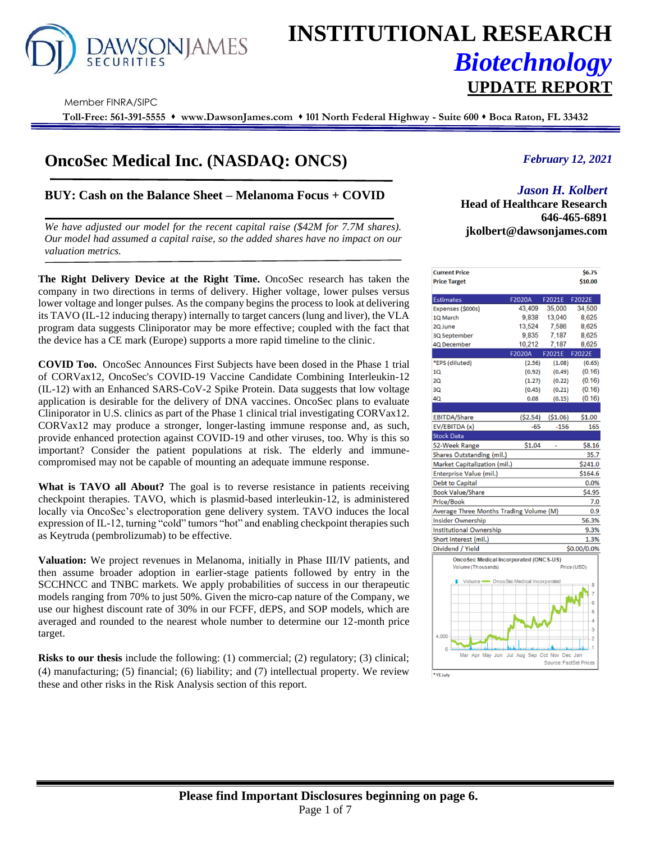

# **INSTITUTIONAL RESEARCH** *Biotechnology* **UPDATE REPORT**

Member FINRA/SIPC

**Toll-Free: 561-391-5555** ⬧ **www.DawsonJames.com** ⬧ **101 North Federal Highway - Suite 600** ⬧ **Boca Raton, FL 33432**

# **OncoSec Medical Inc. (NASDAQ: ONCS)**

## **BUY: Cash on the Balance Sheet – Melanoma Focus + COVID**

*We have adjusted our model for the recent capital raise (\$42M for 7.7M shares). Our model had assumed a capital raise, so the added shares have no impact on our valuation metrics.*

**The Right Delivery Device at the Right Time.** OncoSec research has taken the company in two directions in terms of delivery. Higher voltage, lower pulses versus lower voltage and longer pulses. As the company begins the process to look at delivering its TAVO (IL-12 inducing therapy) internally to target cancers (lung and liver), the VLA program data suggests Cliniporator may be more effective; coupled with the fact that the device has a CE mark (Europe) supports a more rapid timeline to the clinic.

**COVID Too.** OncoSec Announces First Subjects have been dosed in the Phase 1 trial of CORVax12, OncoSec's COVID-19 Vaccine Candidate Combining Interleukin-12 (IL-12) with an Enhanced SARS-CoV-2 Spike Protein. Data suggests that low voltage application is desirable for the delivery of DNA vaccines. OncoSec plans to evaluate Cliniporator in U.S. clinics as part of the Phase 1 clinical trial investigating CORVax12. CORVax12 may produce a stronger, longer-lasting immune response and, as such, provide enhanced protection against COVID-19 and other viruses, too. Why is this so important? Consider the patient populations at risk. The elderly and immunecompromised may not be capable of mounting an adequate immune response.

**What is TAVO all About?** The goal is to reverse resistance in patients receiving checkpoint therapies. TAVO, which is plasmid-based interleukin-12, is administered locally via OncoSec's electroporation gene delivery system. TAVO induces the local expression of IL-12, turning "cold" tumors "hot" and enabling checkpoint therapies such as Keytruda (pembrolizumab) to be effective.

**Valuation:** We project revenues in Melanoma, initially in Phase III/IV patients, and then assume broader adoption in earlier-stage patients followed by entry in the SCCHNCC and TNBC markets. We apply probabilities of success in our therapeutic models ranging from 70% to just 50%. Given the micro-cap nature of the Company, we use our highest discount rate of 30% in our FCFF, dEPS, and SOP models, which are averaged and rounded to the nearest whole number to determine our 12-month price target.

**Risks to our thesis** include the following: (1) commercial; (2) regulatory; (3) clinical; (4) manufacturing; (5) financial; (6) liability; and (7) intellectual property. We review these and other risks in the Risk Analysis section of this report.

## *February 12, 2021*

# *Jason H. Kolbert*

**Investment Highlights Head of Healthcare Research 646-465-6891 jkolbert@dawsonjames.com**

| <b>Current Price</b>                          |               |                        | \$6.75         |
|-----------------------------------------------|---------------|------------------------|----------------|
| <b>Price Target</b>                           |               |                        | \$10.00        |
| <b>Estimates</b>                              | F2020A        | F2021E                 | F2022E         |
| Expenses (\$000s)                             | 43.409        | 35.000                 | 34,500         |
| 1Q March                                      | 9,838         | 13,040                 | 8,625          |
| 2Q June                                       | 13,524        | 7,586                  | 8,625          |
| 3Q September                                  | 9,835         | 7,187                  | 8,625          |
| <b>4Q December</b>                            | 10.212        | 7.187                  | 8,625          |
|                                               | <b>F2020A</b> | F2021E                 | F2022E         |
| *EPS (diluted)                                | (2.56)        | (1.08)                 | (0.65)         |
| 10                                            | (0.92)        | (0.49)                 | (0.16)         |
| 2Q                                            | (1.27)        | (0.22)                 | (0.16)         |
| 3Q                                            | (0.45)        | (0.21)                 | (0.16)         |
| 4Q                                            | 0.08          | (0.15)                 | (0.16)         |
|                                               |               |                        |                |
| <b>EBITDA/Share</b>                           | ( \$2.54)     | ( \$1.06)              | \$1.00         |
| EV/EBITDA (x)                                 | $-65$         | $-156$                 | 165            |
| <b>Stock Data</b>                             |               |                        |                |
| 52-Week Range                                 | \$1.04        |                        | \$8.16         |
| Shares Outstanding (mil.)                     |               |                        | 35.7           |
| Market Capitalization (mil.)                  |               |                        | \$241.0        |
| Enterprise Value (mil.)                       |               |                        | \$164.6        |
| <b>Debt to Capital</b>                        |               |                        | 0.0%           |
| <b>Book Value/Share</b>                       |               |                        | \$4.95         |
| <b>Price/Book</b>                             |               |                        | 7.0            |
| Average Three Months Trading Volume (M)       |               |                        | 0.9            |
| <b>Insider Ownership</b>                      |               |                        | 56.3%          |
| <b>Institutional Ownership</b>                |               |                        | 9.3%           |
| Short interest (mil.)                         |               |                        | 1.3%           |
| Dividend / Yield                              |               |                        | \$0.00/0.0%    |
| <b>OncoSec Medical Incorporated (ONCS-US)</b> |               |                        |                |
| Volume (Thousands)                            |               |                        | Price (USD)    |
| Volume CncoSec Medical Incorporated           |               |                        | 8              |
|                                               |               |                        | 6              |
|                                               |               |                        | 5              |
|                                               |               |                        | 4              |
|                                               |               |                        | 3              |
| 4,000                                         |               |                        | $\overline{c}$ |
| Mar Apr May Jun Jul Aug Sep Oct Nov Dec Jan   |               |                        |                |
|                                               |               | Source: FactSet Prices |                |
| •ve:                                          |               |                        |                |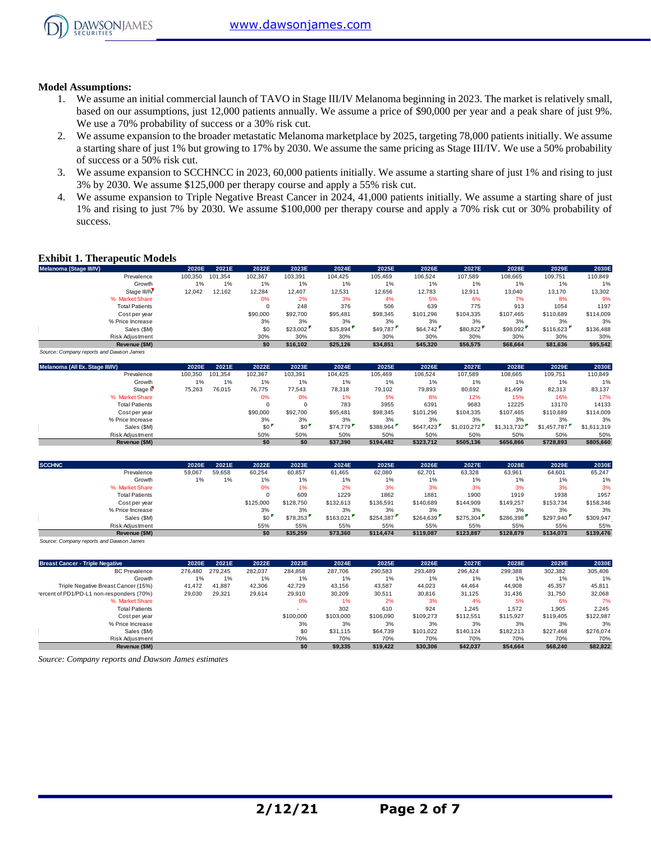

#### **Model Assumptions:**

- 1. We assume an initial commercial launch of TAVO in Stage III/IV Melanoma beginning in 2023. The market is relatively small, based on our assumptions, just 12,000 patients annually. We assume a price of \$90,000 per year and a peak share of just 9%. We use a 70% probability of success or a 30% risk cut.
- 2. We assume expansion to the broader metastatic Melanoma marketplace by 2025, targeting 78,000 patients initially. We assume a starting share of just 1% but growing to 17% by 2030. We assume the same pricing as Stage III/IV. We use a 50% probability of success or a 50% risk cut.
- 3. We assume expansion to SCCHNCC in 2023, 60,000 patients initially. We assume a starting share of just 1% and rising to just 3% by 2030. We assume \$125,000 per therapy course and apply a 55% risk cut.
- 4. We assume expansion to Triple Negative Breast Cancer in 2024, 41,000 patients initially. We assume a starting share of just 1% and rising to just 7% by 2030. We assume \$100,000 per therapy course and apply a 70% risk cut or 30% probability of success.

#### **Exhibit 1. Therapeutic Models**

| <b>Exhibit 1. Therapeutic Models</b>     |         |         |          |          |          |          |           |           |           |           |           |
|------------------------------------------|---------|---------|----------|----------|----------|----------|-----------|-----------|-----------|-----------|-----------|
| Melanoma (Stage III/IV)                  | 2020E   | 2021E   | 2022E    | 2023E    | 2024E    | 2025E    | 2026E     | 2027E     | 2028E     | 2029E     | 2030E     |
| Prevalence                               | 100,350 | 101.354 | 102,367  | 103,391  | 104.425  | 105.469  | 106,524   | 107.589   | 108,665   | 109,751   | 110,849   |
| Growth                                   | 1%      | 1%      | 1%       | 1%       | 1%       | 1%       | 1%        | 1%        | 1%        | 1%        | 1%        |
| Stage III/IV                             | 12,042  | 12,162  | 12,284   | 12,407   | 12,531   | 12,656   | 12,783    | 12,911    | 13,040    | 13,170    | 13,302    |
| % Market Share                           |         |         | 0%       | 2%       | 3%       | 4%       | 5%        | 6%        | 7%        | 8%        | 9%        |
| <b>Total Patients</b>                    |         |         | $\Omega$ | 248      | 376      | 506      | 639       | 775       | 913       | 1054      | 1197      |
| Cost per year                            |         |         | \$90,000 | \$92,700 | \$95,481 | \$98,345 | \$101.296 | \$104,335 | \$107.465 | \$110,689 | \$114,009 |
| % Price Increase                         |         |         | 3%       | 3%       | 3%       | 3%       | 3%        | 3%        | 3%        | 3%        | 3%        |
| Sales (\$M)                              |         |         | \$0      | \$23,002 | \$35,894 | \$49,787 | \$64,742  | \$80,822  | \$98,092  | \$116,623 | \$136,488 |
| Risk Adjustment                          |         |         | 30%      | 30%      | 30%      | 30%      | 30%       | 30%       | 30%       | 30%       | 30%       |
| Revenue (\$M)                            |         |         | \$0      | \$16.102 | \$25,126 | \$34,851 | \$45,320  | \$56,575  | \$68,664  | \$81,636  | \$95,542  |
| Source: Company reports and Dawson James |         |         |          |          |          |          |           |           |           |           |           |

| Sales (\$M)                              |         |         | \$0      | \$23,002 | \$35,894 | \$49,787  | \$64,742  | \$80,822    | \$98,092    | \$116,623   | \$136,488   |
|------------------------------------------|---------|---------|----------|----------|----------|-----------|-----------|-------------|-------------|-------------|-------------|
| Risk Adjustment                          |         |         | 30%      | 30%      | 30%      | 30%       | 30%       | 30%         | 30%         | 30%         | 30%         |
| Revenue (\$M)                            |         |         | \$0      | \$16,102 | \$25,126 | \$34,851  | \$45,320  | \$56,575    | \$68,664    | \$81,636    | \$95,542    |
| Source: Company reports and Dawson James |         |         |          |          |          |           |           |             |             |             |             |
| Melanoma (All Ex. Stage III/IV)          | 2020E   | 2021E   | 2022E    | 2023E    | 2024E    | 2025E     | 2026E     | 2027E       | 2028E       | 2029E       | 2030E       |
| Prevalence                               | 100,350 | 101.354 | 102,367  | 103,391  | 104,425  | 105,469   | 106,524   | 107,589     | 108,665     | 109,751     | 110,849     |
| Growth                                   | 1%      | 1%      | 1%       | 1%       | 1%       | $1\%$     | 1%        | 1%          | 1%          | 1%          | 1%          |
| Stage II <sup></sup>                     | 75,263  | 76,015  | 76,775   | 77,543   | 78,318   | 79,102    | 79,893    | 80,692      | 81,499      | 82,313      | 83,137      |
| % Market Share                           |         |         | 0%       | 0%       | 1%       | 5%        | 8%        | 12%         | 15%         | 16%         | 17%         |
| <b>Total Patients</b>                    |         |         |          | $\Omega$ | 783      | 3955      | 6391      | 9683        | 12225       | 13170       | 14133       |
| Cost per year                            |         |         | \$90,000 | \$92,700 | \$95,481 | \$98,345  | \$101.296 | \$104.335   | \$107,465   | \$110,689   | \$114,009   |
| % Price Increase                         |         |         | 3%       | 3%       | 3%       | 3%        | 3%        | 3%          | 3%          | 3%          | 3%          |
| Sales (\$M)                              |         |         | \$0      | \$0      | \$74,779 | \$388,964 | \$647,423 | \$1,010,272 | \$1,313,732 | \$1,457,787 | \$1,611,319 |
| <b>Risk Adiustment</b>                   |         |         | 50%      | 50%      | 50%      | 50%       | 50%       | 50%         | 50%         | 50%         | 50%         |
| Revenue (\$M)                            |         |         | \$0      | \$0      | \$37,390 | \$194,482 | \$323,712 | \$505,136   | \$656,866   | \$728,893   | \$805,660   |
|                                          |         |         |          |          |          |           |           |             |             |             |             |
|                                          |         |         |          |          |          |           |           |             |             |             |             |

|               | Sales (\$M)                              |        |        | \$0       | \$0       | \$74,779  | \$388,964 | \$647.423 | \$1,010,272 | \$1,313,732 | \$1,457,787 | \$1.611.319 |
|---------------|------------------------------------------|--------|--------|-----------|-----------|-----------|-----------|-----------|-------------|-------------|-------------|-------------|
|               | Risk Adjustment                          |        |        | 50%       | 50%       | 50%       | 50%       | 50%       | 50%         | 50%         | 50%         | 50%         |
|               | Revenue (\$M)                            |        |        | \$0       | \$0       | \$37,390  | \$194,482 | \$323.712 | \$505,136   | \$656,866   | \$728,893   | \$805,660   |
| <b>SCCHNC</b> |                                          | 2020E  | 2021E  | 2022E     | 2023E     | 2024E     | 2025E     | 2026E     | 2027E       | 2028E       | 2029E       | 2030E       |
|               | Prevalence                               | 59,067 | 59,658 | 60,254    | 60,857    | 61,465    | 62,080    | 62,701    | 63,328      | 63,961      | 64,601      | 65,247      |
|               | Growth                                   | 1%     | 1%     | 1%        | 1%        | 1%        | 1%        | 1%        | 1%          | 1%          | 1%          | 1%          |
|               | % Market Share                           |        |        | 0%        | 1%        | 2%        | 3%        | 3%        | 3%          | 3%          | 3%          | 3%          |
|               | <b>Total Patients</b>                    |        |        |           | 609       | 1229      | 1862      | 1881      | 1900        | 1919        | 1938        | 1957        |
|               | Cost per year                            |        |        | \$125,000 | \$128,750 | \$132,613 | \$136,591 | \$140,689 | \$144,909   | \$149,257   | \$153,734   | \$158,346   |
|               | % Price Increase                         |        |        | 3%        | 3%        | 3%        | 3%        | 3%        | 3%          | 3%          | 3%          | 3%          |
|               | Sales (\$M)                              |        |        | \$0       | \$78,353  | \$163,021 | \$254,387 | \$264,639 | \$275,304   | \$286,398   | \$297,940   | \$309,947   |
|               | <b>Risk Adiustment</b>                   |        |        | 55%       | 55%       | 55%       | 55%       | 55%       | 55%         | 55%         | 55%         | 55%         |
|               | Revenue (\$M)                            |        |        | \$0       | \$35,259  | \$73,360  | \$114,474 | \$119,087 | \$123,887   | \$128,879   | \$134,073   | \$139,476   |
|               | Source: Company reports and Dawson James |        |        |           |           |           |           |           |             |             |             |             |

| Risk Adjustment                                    |         |         | 55%     | 55%       | 55%       | 55%       | 55%       | 55%       | 55%       | 55%       | 55%       |
|----------------------------------------------------|---------|---------|---------|-----------|-----------|-----------|-----------|-----------|-----------|-----------|-----------|
| Revenue (\$M)                                      |         |         | \$0     | \$35,259  | \$73,360  | \$114,474 | \$119,087 | \$123.887 | \$128,879 | \$134,073 | \$139,476 |
| Source: Company reports and Dawson James           |         |         |         |           |           |           |           |           |           |           |           |
| <b>Breast Cancer - Triple Negative</b>             | 2020E   | 2021E   | 2022E   | 2023E     | 2024E     | 2025E     | 2026E     | 2027E     | 2028E     | 2029E     | 2030E     |
| <b>BC</b> Prevalence                               | 276.480 | 279.245 | 282,037 | 284.858   | 287,706   | 290,583   | 293.489   | 296.424   | 299,388   | 302,382   | 305,406   |
| Growth                                             | 1%      | 1%      | 1%      | 1%        | 1%        | 1%        | 1%        | 1%        | 1%        | 1%        | 1%        |
| Triple Negative Breast Cancer (15%)                | 41,472  | 41,887  | 42,306  | 42.729    | 43,156    | 43,587    | 44,023    | 44.464    | 44,908    | 45,357    | 45,811    |
| 'ercent of PD1/PD-L1 non-responders (70%)          | 29,030  | 29,321  | 29,614  | 29,910    | 30,209    | 30,511    | 30,816    | 31,125    | 31,436    | 31,750    | 32,068    |
| % Market Share                                     |         |         |         | 0%        | 1%        | 2%        | 3%        | 4%        | 5%        | 6%        | 7%        |
| <b>Total Patients</b>                              |         |         |         |           | 302       | 610       | 924       | 1,245     | 1,572     | 1,905     | 2,245     |
| Cost per year                                      |         |         |         | \$100,000 | \$103,000 | \$106,090 | \$109.273 | \$112,551 | \$115,927 | \$119,405 | \$122,987 |
| % Price Increase                                   |         |         |         | 3%        | 3%        | 3%        | 3%        | 3%        | 3%        | 3%        | 3%        |
| Sales (\$M)                                        |         |         |         | \$0       | \$31.115  | \$64,739  | \$101.022 | \$140.124 | \$182,213 | \$227,468 | \$276,074 |
| Risk Adjustment                                    |         |         |         | 70%       | 70%       | 70%       | 70%       | 70%       | 70%       | 70%       | 70%       |
| Revenue (\$M)                                      |         |         |         | \$0       | \$9,335   | \$19,422  | \$30,306  | \$42,037  | \$54,664  | \$68,240  | \$82,822  |
| Source: Company reports and Dawson James estimates |         |         |         |           |           |           |           |           |           |           |           |

*Source: Company reports and Dawson James estimates*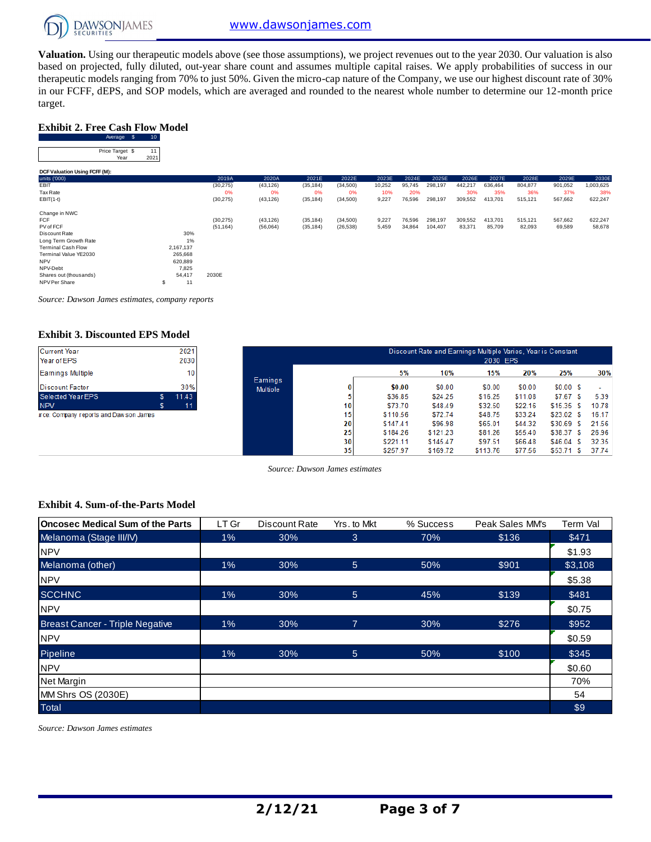

**Valuation.** Using our therapeutic models above (see those assumptions), we project revenues out to the year 2030. Our valuation is also based on projected, fully diluted, out-year share count and assumes multiple capital raises. We apply probabilities of success in our therapeutic models ranging from 70% to just 50%. Given the micro-cap nature of the Company, we use our highest discount rate of 30% Exhibit 2. Free Cash Flow Model<br>
Exhibit 2. Free Cash Flow Model<br>
Average \$ 10<br>
Price Tange \$ 10 target.

#### **Exhibit 2. Free Cash Flow Model**

| target.                                |                 |           |           |           |           |        |        |         |         |         |         |         |           |
|----------------------------------------|-----------------|-----------|-----------|-----------|-----------|--------|--------|---------|---------|---------|---------|---------|-----------|
| <b>Exhibit 2. Free Cash Flow Model</b> |                 |           |           |           |           |        |        |         |         |         |         |         |           |
| Average \$                             | 10 <sub>1</sub> |           |           |           |           |        |        |         |         |         |         |         |           |
| Price Target \$<br>Year                | 11<br>2021      |           |           |           |           |        |        |         |         |         |         |         |           |
| DCF Valuation Using FCFF (M):          |                 |           |           |           |           |        |        |         |         |         |         |         |           |
| units ('000)                           |                 | 2019A     | 2020A     | 2021E     | 2022E     | 2023E  | 2024E  | 2025E   | 2026E   | 2027E   | 2028E   | 2029E   | 2030E     |
| EBIT                                   |                 | (30, 275) | (43, 126) | (35, 184) | (34,500)  | 10,252 | 95,745 | 298,197 | 442,217 | 636,464 | 804,877 | 901,052 | 1,003,625 |
| Tax Rate                               |                 | 0%        | 0%        | 0%        | 0%        | 10%    | 20%    |         | 30%     | 35%     | 36%     | 37%     | 38%       |
| $EBIT(1-t)$                            |                 | (30, 275) | (43, 126) | (35, 184) | (34, 500) | 9,227  | 76,596 | 298,197 | 309,552 | 413,701 | 515,121 | 567,662 | 622,247   |
| Change in NWC                          |                 |           |           |           |           |        |        |         |         |         |         |         |           |
| <b>FCF</b>                             |                 | (30, 275) | (43, 126) | (35, 184) | (34, 500) | 9,227  | 76,596 | 298,197 | 309,552 | 413,701 | 515,121 | 567,662 | 622,247   |
| PV of FCF                              |                 | (51, 164) | (56,064)  | (35, 184) | (26, 538) | 5,459  | 34,864 | 104,407 | 83,371  | 85,709  | 82,093  | 69,589  | 58,678    |
| Discount Rate                          | 30%             |           |           |           |           |        |        |         |         |         |         |         |           |
| Long Term Growth Rate                  | 1%              |           |           |           |           |        |        |         |         |         |         |         |           |
| <b>Terminal Cash Flow</b>              | 2,167,137       |           |           |           |           |        |        |         |         |         |         |         |           |
| Terminal Value YE2030                  | 265,668         |           |           |           |           |        |        |         |         |         |         |         |           |
| <b>NPV</b>                             | 620,889         |           |           |           |           |        |        |         |         |         |         |         |           |
| NPV-Debt                               | 7,825           |           |           |           |           |        |        |         |         |         |         |         |           |
| Shares out (thousands)                 | 54,417          | 2030E     |           |           |           |        |        |         |         |         |         |         |           |
| NPV Per Share                          | \$<br>11        |           |           |           |           |        |        |         |         |         |         |         |           |

*Source: Dawson James estimates, company reports*

#### **Exhibit 3. Discounted EPS Model**

| 2021 |
|------|
| 2030 |
| 10   |
| 30%  |
| 1143 |
| 11   |
|      |

ce: Company reports and Dawson James

|                                    |                 |          |          | Discount Rate and Earnings Multiple Varies, Year is Constant<br>2030 EPS |         |             |       |
|------------------------------------|-----------------|----------|----------|--------------------------------------------------------------------------|---------|-------------|-------|
|                                    |                 | 5%       | 10%      | 15%                                                                      | 20%     | 25%         | 30%   |
| <b>Earnings</b><br><b>Multiple</b> | 0               | \$0.00   | \$0.00   | \$0.00                                                                   | \$0.00  | \$0.00S     | ٠     |
|                                    | 5               | \$36.85  | \$24.25  | \$16.25                                                                  | \$11.08 | \$7.67S     | 5.39  |
|                                    | 10              | \$73.70  | \$48.49  | \$32.50                                                                  | \$22.16 | \$15.35S    | 10.78 |
|                                    | 15              | \$110.56 | \$72.74  | \$48.75                                                                  | \$33.24 | \$23.02S    | 16.17 |
|                                    | 20              | \$147.41 | \$96.98  | \$65.01                                                                  | \$44.32 | \$30.69 \$  | 21.56 |
|                                    | 25              | \$184.26 | \$121.23 | \$81.26                                                                  | \$55.40 | \$38.37 \$  | 26.96 |
|                                    | 30 <sup>1</sup> | \$221.11 | \$145.47 | \$97.51                                                                  | \$66.48 | \$46.04\$   | 32.35 |
|                                    | 35              | \$257.97 | \$169.72 | \$113.76                                                                 | \$77.56 | $$53.71$ \$ | 37.74 |

*Source: Dawson James estimates*

#### **Exhibit 4. Sum-of-the-Parts Model**

| <b>Oncosec Medical Sum of the Parts</b> | LT Gr | Discount Rate | Yrs. to Mkt | % Success | Peak Sales MM's | Term Val |
|-----------------------------------------|-------|---------------|-------------|-----------|-----------------|----------|
| Melanoma (Stage III/IV)                 | 1%    | 30%           | 3           | 70%       | \$136           | \$471    |
| <b>NPV</b>                              |       |               |             |           |                 | \$1.93   |
| Melanoma (other)                        | 1%    | 30%           | 5           | 50%       | \$901           | \$3,108  |
| <b>NPV</b>                              |       |               |             |           |                 | \$5.38   |
| <b>SCCHNC</b>                           | 1%    | 30%           | 5           | 45%       | \$139           | \$481    |
| <b>NPV</b>                              |       |               |             |           |                 | \$0.75   |
| <b>Breast Cancer - Triple Negative</b>  | 1%    | 30%           | 7           | 30%       | \$276           | \$952    |
| <b>NPV</b>                              |       |               |             |           |                 | \$0.59   |
| Pipeline                                | 1%    | 30%           | 5           | 50%       | \$100           | \$345    |
| <b>NPV</b>                              |       |               |             |           |                 | \$0.60   |
| <b>Net Margin</b>                       |       |               |             |           |                 | 70%      |
| MM Shrs OS (2030E)                      |       |               |             |           |                 | 54       |
| Total                                   |       |               |             |           |                 | \$9      |

*Source: Dawson James estimates*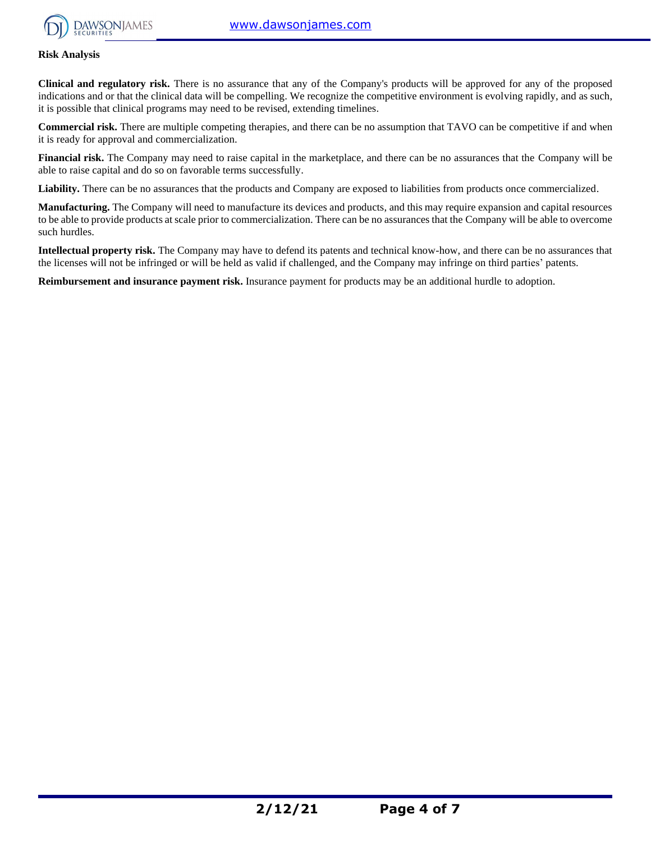

#### **Risk Analysis**

**Clinical and regulatory risk.** There is no assurance that any of the Company's products will be approved for any of the proposed indications and or that the clinical data will be compelling. We recognize the competitive environment is evolving rapidly, and as such, it is possible that clinical programs may need to be revised, extending timelines.

**Commercial risk.** There are multiple competing therapies, and there can be no assumption that TAVO can be competitive if and when it is ready for approval and commercialization.

**Financial risk.** The Company may need to raise capital in the marketplace, and there can be no assurances that the Company will be able to raise capital and do so on favorable terms successfully.

Liability. There can be no assurances that the products and Company are exposed to liabilities from products once commercialized.

**Manufacturing.** The Company will need to manufacture its devices and products, and this may require expansion and capital resources to be able to provide products at scale prior to commercialization. There can be no assurances that the Company will be able to overcome such hurdles.

**Intellectual property risk.** The Company may have to defend its patents and technical know-how, and there can be no assurances that the licenses will not be infringed or will be held as valid if challenged, and the Company may infringe on third parties' patents.

**Reimbursement and insurance payment risk.** Insurance payment for products may be an additional hurdle to adoption.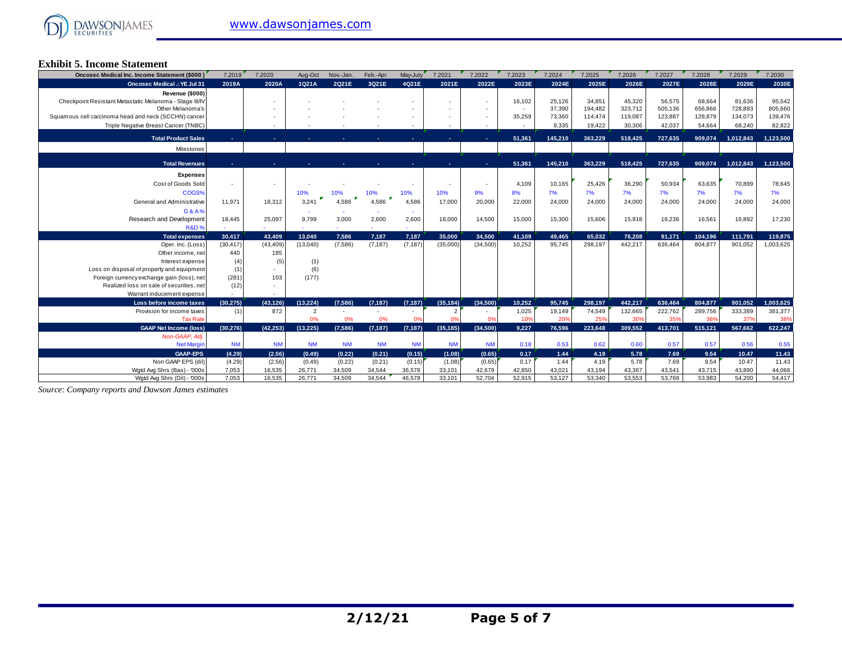#### **Exhibit 5. Income Statement**

| Oncosec Medical Inc. Income Statement (\$000)           | 7.2019           | 7.2020    | Aug-Oct        | Nov.-Jan.        | Feb.-Apr. | May-July  | 7.2021         | 7.2022    | 7.2023 | 7.2024  | 7.2025  | 7.2026  | 7.2027  | 7.2028  | 7.2029    | 7.2030    |
|---------------------------------------------------------|------------------|-----------|----------------|------------------|-----------|-----------|----------------|-----------|--------|---------|---------|---------|---------|---------|-----------|-----------|
| <b>Oncosec Medical .: YE Jul 31</b>                     | 2019A            | 2020A     | 1Q21A          | 2Q21E            | 3Q21E     | 4Q21E     | 2021E          | 2022E     | 2023E  | 2024E   | 2025E   | 2026E   | 2027E   | 2028E   | 2029E     | 2030E     |
| Revenue (\$000)                                         |                  |           |                |                  |           |           |                |           |        |         |         |         |         |         |           |           |
| Checkpoint Resistant Metastatic Melanoma - Stage III/IV |                  |           |                |                  |           |           |                | $\sim$    | 16,102 | 25,126  | 34,851  | 45,320  | 56,575  | 68.664  | 81,636    | 95,542    |
| Other Melanoma's                                        |                  |           |                |                  |           |           |                |           | $\sim$ | 37,390  | 194.482 | 323.712 | 505.136 | 656,866 | 728,893   | 805,660   |
| Squamous cell carcinoma head and neck (SCCHN) cancer    |                  |           |                |                  |           |           |                |           | 35,259 | 73,360  | 114.474 | 119.087 | 123,887 | 128,879 | 134,073   | 139,476   |
| Triple Negative Breast Cancer (TNBC)                    |                  |           |                |                  |           |           |                |           |        | 9,335   | 19,422  | 30,306  | 42,037  | 54,664  | 68,240    | 82,822    |
| <b>Total Product Sales</b>                              |                  |           |                |                  |           |           |                |           | 51,361 | 145,210 | 363.229 | 518,425 | 727.635 | 909.074 | 1,012,843 | 1,123,500 |
| Milestones                                              |                  |           |                |                  |           |           |                |           |        |         |         |         |         |         |           |           |
|                                                         |                  |           |                |                  |           |           |                |           |        |         |         |         |         |         |           |           |
| <b>Total Revenues</b>                                   |                  |           |                |                  |           |           |                |           | 51.361 | 145.210 | 363.229 | 518.425 | 727.635 | 909.074 | 1.012.843 | 1.123.500 |
| <b>Expenses</b>                                         |                  |           |                |                  |           |           |                |           |        |         |         |         |         |         |           |           |
| Cost of Goods Sold                                      |                  |           |                |                  |           |           |                |           | 4,109  | 10,165  | 25,426  | 36,290  | 50,934  | 63,635  | 70,899    | 78,645    |
| COGS%                                                   |                  |           | 10%            | 10%              | 10%       | 10%       | 10%            | 9%        | 8%     | 7%      | 7%      | 7%      | 7%      | 7%      | 7%        | 7%        |
| General and Administrative                              | 11.971           | 18,312    | 3,241          | 4.586            | 4.586     | 4,586     | 17,000         | 20,000    | 22,000 | 24,000  | 24,000  | 24,000  | 24,000  | 24,000  | 24,000    | 24,000    |
| G&A%                                                    |                  |           |                |                  |           |           |                |           |        |         |         |         |         |         |           |           |
| Research and Development                                | 18,445           | 25,097    | 9,799          | 3,000            | 2,600     | 2,600     | 18,000         | 14,500    | 15,000 | 15,300  | 15,606  | 15,918  | 16,236  | 16,561  | 16,892    | 17,230    |
| <b>R&amp;D%</b>                                         |                  |           |                |                  |           |           |                |           |        |         |         |         |         |         |           |           |
| <b>Total expenses</b>                                   | 30.417           | 43.409    | 13.040         | 7.586            | 7.187     | 7.187     | 35.000         | 34.500    | 41,109 | 49.465  | 65.032  | 76.208  | 91,171  | 104,196 | 111,791   | 119,875   |
| Oper. Inc. (Loss)                                       | (30, 417)        | (43, 409) | (13,040)       | (7,586)          | (7, 187)  | (7, 187)  | (35,000)       | (34,500)  | 10,252 | 95,745  | 298,197 | 442,217 | 636,464 | 804,877 | 901,052   | 1,003,625 |
| Other income, net                                       | 440              | 185       |                |                  |           |           |                |           |        |         |         |         |         |         |           |           |
| Interest expense                                        | (4)              | (5)       | (1)            |                  |           |           |                |           |        |         |         |         |         |         |           |           |
| Loss on disposal of property and equipment              | (1)              |           | (6)            |                  |           |           |                |           |        |         |         |         |         |         |           |           |
| Foreign currency exchange gain (loss), net              | (281)            | 103       | (177)          |                  |           |           |                |           |        |         |         |         |         |         |           |           |
| Realized loss on sale of securities, net                | (12)             |           |                |                  |           |           |                |           |        |         |         |         |         |         |           |           |
| Warrant inducement expense                              |                  |           |                |                  |           |           |                |           |        |         |         |         |         |         |           |           |
| Loss before income taxes                                | (30.275)         | (43.126)  | (13.224)       | (7,586)          | (7, 187)  | (7, 187)  | (35, 184)      | (34,500)  | 10,252 | 95,745  | 298,197 | 442.217 | 636,464 | 804,877 | 901.052   | 1,003,625 |
| Provision for income taxes                              | (1)              | 872       | $\overline{2}$ |                  |           |           | $\overline{2}$ |           | 1,025  | 19,149  | 74,549  | 132,665 | 222,762 | 289,756 | 333,389   | 381,377   |
| <b>Tax Rate</b>                                         |                  |           | 0%             | 0%               | 0%        | 0%        | 0%             | 0%        | 10%    | 20%     | 25%     | 30%     | 35%     | 36%     | 37%       | 38%       |
| <b>GAAP Net Income (loss)</b>                           | (30.276)         | (42.253)  | (13.225)       | (7,586)          | (7, 187)  | (7.187)   | (35, 185)      | (34.500)  | 9.227  | 76.596  | 223.648 | 309.552 | 413.701 | 515.121 | 567.662   | 622.247   |
| Non-GAAP, Adj.<br><b>Net Margin</b>                     | <b>NM</b>        | <b>NM</b> | <b>NM</b>      | <b>NM</b>        | <b>NM</b> | <b>NM</b> | <b>NM</b>      | <b>NM</b> | 0.18   | 0.53    | 0.62    | 0.60    | 0.57    | 0.57    | 0.56      | 0.55      |
| <b>GAAP-EPS</b>                                         |                  | (2.56)    | (0.49)         |                  | (0.21)    | (0.15)    | (1.08)         | (0.65)    | 0.17   | 1.44    | 4.19    | 5.78    | 7.69    | 9.54    | 10.47     | 11.43     |
| Non GAAP EPS (dil)                                      | (4.29)<br>(4.29) | (2.56)    | (0.49)         | (0.22)<br>(0.22) | (0.21)    | (0.15)    | (1.08)         | (0.65)    | 0.17   | 1.44    | 4.19    | 5.78    | 7.69    | 9.54    | 10.47     | 11.43     |
| Wgtd Avg Shrs (Bas) - '000s                             | 7.053            | 16,535    | 26,771         | 34,509           | 34,544    | 36,578    | 33,101         | 42,679    | 42.850 | 43,021  | 43,194  | 43,367  | 43,541  | 43,715  | 43.890    | 44,066    |
| Watd Ava Shrs (Dil) - '000s                             | 7.053            | 16,535    | 26,771         | 34.509           | 34.544    | 46,578    | 33,101         | 52.704    | 52.915 | 53.127  | 53.340  | 53,553  | 53.768  | 53.983  | 54.200    | 54,417    |

*Source: Company reports and Dawson James estimates*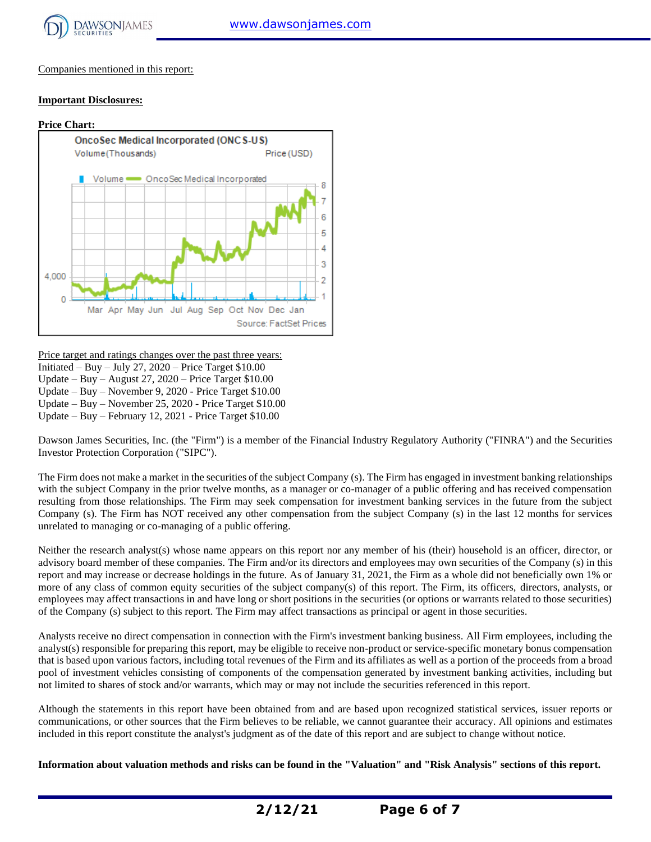

Companies mentioned in this report:

#### **Important Disclosures:**



Price target and ratings changes over the past three years:

Initiated – Buy – July 27,  $2020$  – Price Target \$10.00

Update – Buy – August 27, 2020 – Price Target \$10.00

Update – Buy – November 9, 2020 - Price Target \$10.00 Update – Buy – November 25, 2020 - Price Target \$10.00

Update – Buy – February 12, 2021 - Price Target \$10.00

Dawson James Securities, Inc. (the "Firm") is a member of the Financial Industry Regulatory Authority ("FINRA") and the Securities Investor Protection Corporation ("SIPC").

The Firm does not make a market in the securities of the subject Company (s). The Firm has engaged in investment banking relationships with the subject Company in the prior twelve months, as a manager or co-manager of a public offering and has received compensation resulting from those relationships. The Firm may seek compensation for investment banking services in the future from the subject Company (s). The Firm has NOT received any other compensation from the subject Company (s) in the last 12 months for services unrelated to managing or co-managing of a public offering.

Neither the research analyst(s) whose name appears on this report nor any member of his (their) household is an officer, director, or advisory board member of these companies. The Firm and/or its directors and employees may own securities of the Company (s) in this report and may increase or decrease holdings in the future. As of January 31, 2021, the Firm as a whole did not beneficially own 1% or more of any class of common equity securities of the subject company(s) of this report. The Firm, its officers, directors, analysts, or employees may affect transactions in and have long or short positions in the securities (or options or warrants related to those securities) of the Company (s) subject to this report. The Firm may affect transactions as principal or agent in those securities.

Analysts receive no direct compensation in connection with the Firm's investment banking business. All Firm employees, including the analyst(s) responsible for preparing this report, may be eligible to receive non-product or service-specific monetary bonus compensation that is based upon various factors, including total revenues of the Firm and its affiliates as well as a portion of the proceeds from a broad pool of investment vehicles consisting of components of the compensation generated by investment banking activities, including but not limited to shares of stock and/or warrants, which may or may not include the securities referenced in this report.

Although the statements in this report have been obtained from and are based upon recognized statistical services, issuer reports or communications, or other sources that the Firm believes to be reliable, we cannot guarantee their accuracy. All opinions and estimates included in this report constitute the analyst's judgment as of the date of this report and are subject to change without notice.

**Information about valuation methods and risks can be found in the "Valuation" and "Risk Analysis" sections of this report.**